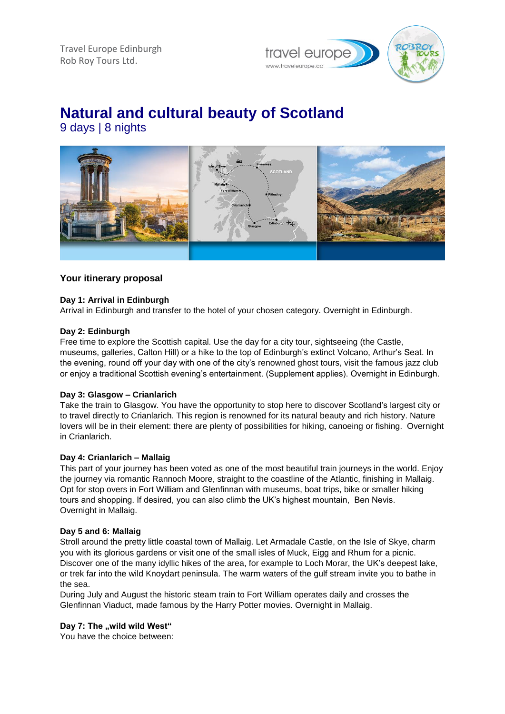Travel Europe Edinburgh Rob Roy Tours Ltd.



# **Natural and cultural beauty of Scotland**

9 days | 8 nights



# **Your itinerary proposal**

# **Day 1: Arrival in Edinburgh**

Arrival in Edinburgh and transfer to the hotel of your chosen category. Overnight in Edinburgh.

# **Day 2: Edinburgh**

Free time to explore the Scottish capital. Use the day for a city tour, sightseeing (the Castle, museums, galleries, Calton Hill) or a hike to the top of Edinburgh's extinct Volcano, Arthur's Seat. In the evening, round off your day with one of the city's renowned ghost tours, visit the famous jazz club or enjoy a traditional Scottish evening's entertainment. (Supplement applies). Overnight in Edinburgh.

# **Day 3: Glasgow – Crianlarich**

Take the train to Glasgow. You have the opportunity to stop here to discover Scotland's largest city or to travel directly to Crianlarich. This region is renowned for its natural beauty and rich history. Nature lovers will be in their element: there are plenty of possibilities for hiking, canoeing or fishing. Overnight in Crianlarich.

# **Day 4: Crianlarich – Mallaig**

This part of your journey has been voted as one of the most beautiful train journeys in the world. Enjoy the journey via romantic Rannoch Moore, straight to the coastline of the Atlantic, finishing in Mallaig. Opt for stop overs in Fort William and Glenfinnan with museums, boat trips, bike or smaller hiking tours and shopping. If desired, you can also climb the UK's highest mountain, Ben Nevis. Overnight in Mallaig.

# **Day 5 and 6: Mallaig**

Stroll around the pretty little coastal town of Mallaig. Let Armadale Castle, on the Isle of Skye, charm you with its glorious gardens or visit one of the small isles of Muck, Eigg and Rhum for a picnic. Discover one of the many idyllic hikes of the area, for example to Loch Morar, the UK's deepest lake, or trek far into the wild Knoydart peninsula. The warm waters of the gulf stream invite you to bathe in the sea.

During July and August the historic steam train to Fort William operates daily and crosses the Glenfinnan Viaduct, made famous by the Harry Potter movies. Overnight in Mallaig.

# Day 7: The "wild wild West"

You have the choice between: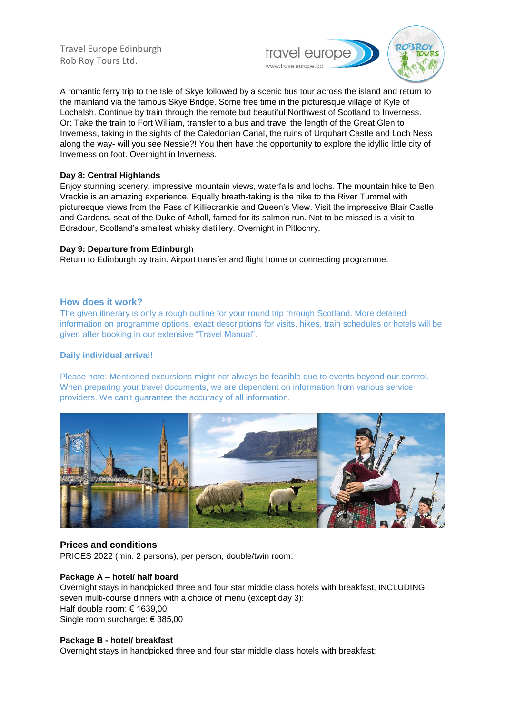Travel Europe Edinburgh Rob Roy Tours Ltd.



A romantic ferry trip to the Isle of Skye followed by a scenic bus tour across the island and return to the mainland via the famous Skye Bridge. Some free time in the picturesque village of Kyle of Lochalsh. Continue by train through the remote but beautiful Northwest of Scotland to Inverness. Or: Take the train to Fort William, transfer to a bus and travel the length of the Great Glen to Inverness, taking in the sights of the Caledonian Canal, the ruins of Urquhart Castle and Loch Ness along the way- will you see Nessie?! You then have the opportunity to explore the idyllic little city of Inverness on foot. Overnight in Inverness.

#### **Day 8: Central Highlands**

Enjoy stunning scenery, impressive mountain views, waterfalls and lochs. The mountain hike to Ben Vrackie is an amazing experience. Equally breath-taking is the hike to the River Tummel with picturesque views from the Pass of Killiecrankie and Queen's View. Visit the impressive Blair Castle and Gardens, seat of the Duke of Atholl, famed for its salmon run. Not to be missed is a visit to Edradour, Scotland's smallest whisky distillery. Overnight in Pitlochry.

#### **Day 9: Departure from Edinburgh**

Return to Edinburgh by train. Airport transfer and flight home or connecting programme.

#### **How does it work?**

The given itinerary is only a rough outline for your round trip through Scotland. More detailed information on programme options, exact descriptions for visits, hikes, train schedules or hotels will be given after booking in our extensive "Travel Manual".

#### **Daily individual arrival!**

Please note: Mentioned excursions might not always be feasible due to events beyond our control. When preparing your travel documents, we are dependent on information from various service providers. We can't guarantee the accuracy of all information.



# **Prices and conditions**

PRICES 2022 (min. 2 persons), per person, double/twin room:

# **Package A – hotel/ half board**

Overnight stays in handpicked three and four star middle class hotels with breakfast, INCLUDING seven multi-course dinners with a choice of menu (except day 3): Half double room: € 1639,00 Single room surcharge: € 385,00

#### **Package B - hotel/ breakfast**

Overnight stays in handpicked three and four star middle class hotels with breakfast: